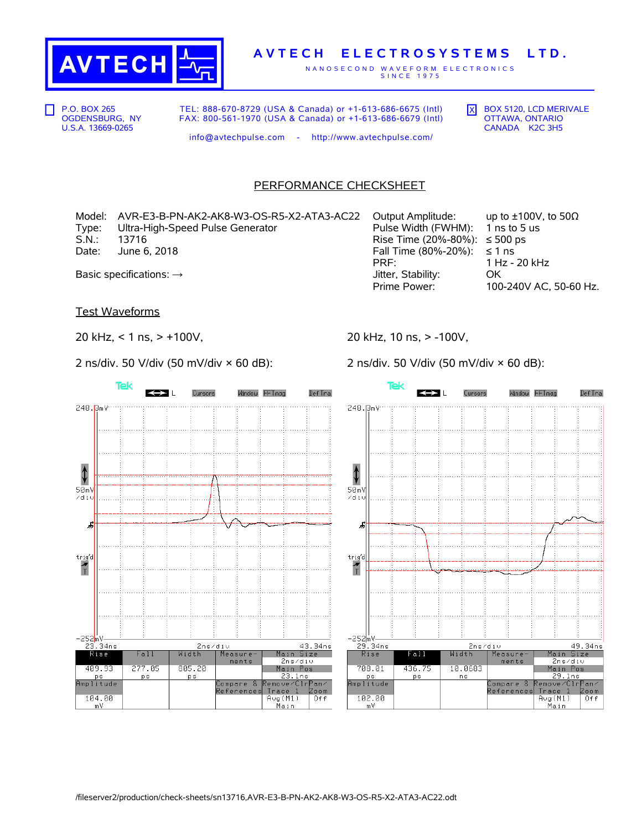

## **A V T E C H E L E C T R O S Y S T E M S L T D .**

N A N O S E C O N D W A V E F O R M E L E C T R O N I C S S IN C E 1975

P.O. BOX 265 OGDENSBURG, NY U.S.A. 13669-0265

TEL: 888-670-8729 (USA & Canada) or +1-613-686-6675 (Intl) FAX: 800-561-1970 (USA & Canada) or +1-613-686-6679 (Intl)

info@avtechpulse.com - http://www.avtechpulse.com/

 $\overline{X}$  BOX 5120, LCD MERIVALE OTTAWA, ONTARIO CANADA K2C 3H5

PERFORMANCE CHECKSHEET

Model: AVR-E3-B-PN-AK2-AK8-W3-OS-R5-X2-ATA3-AC22 Output Amplitude: up to ±100V, to 50Ω Type: Ultra-High-Speed Pulse Generator Pulse Width (FWHM): 1 ns to 5 us S.N.: 13716 **Rise Time (20%-80%):** ≤ 500 ps Date: June 6, 2018  $\blacksquare$  June 6, 2018

PRF: 1 Hz - 20 kHz Basic specifications: → GK and District of the Stability: COM District OC OC District OC OC District OC OC District OC OC District OC OC District OC OC District OC OC District OC OC District OC OC District OC OC District

100-240V AC, 50-60 Hz.

Test Waveforms

20 kHz, < 1 ns, > +100V,

2 ns/div. 50 V/div (50 mV/div × 60 dB):

20 kHz, 10 ns, > -100V,

Tek

2 ns/div. 50 V/div (50 mV/div × 60 dB):



 $\leftrightarrow$  L Def Tra Cursors Window FFTmag 248.BmV ↟  $50mV$  $\angle d$ iy ゟ trig'd  $\frac{1}{1}$ –252<mark>mV——</mark><br>29.34ns 49.34ns 2ns/div Rise al Width Measure Main Size  $2ns/div$ ments 708.01 Main Pos 436.75 10.0683 \_ 29.1ns<br>move⁄Clr<mark>Pan⁄</mark>  $p s$ ns ps<br>Amplitude Compare & <mark>Remove/Clr</mark><br>References <u>Trace 1</u> Zoom 102.00 Avg(M1)<br>Main  $0$ ff  $\frac{1}{m}$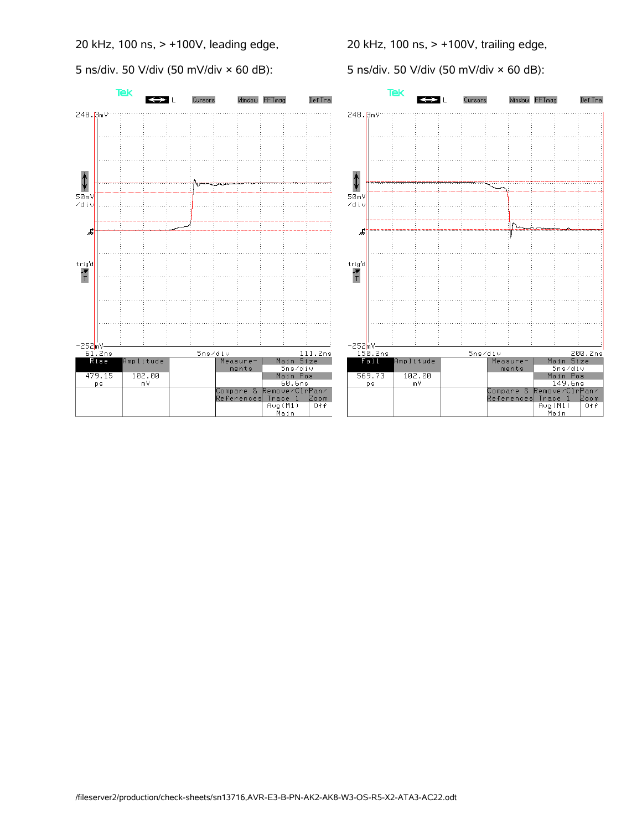20 kHz, 100 ns, > +100V, leading edge,

5 ns/div. 50 V/div (50 mV/div × 60 dB):

20 kHz, 100 ns, > +100V, trailing edge,

5 ns/div. 50 V/div (50 mV/div × 60 dB):





Window FFTmag

Def Tra